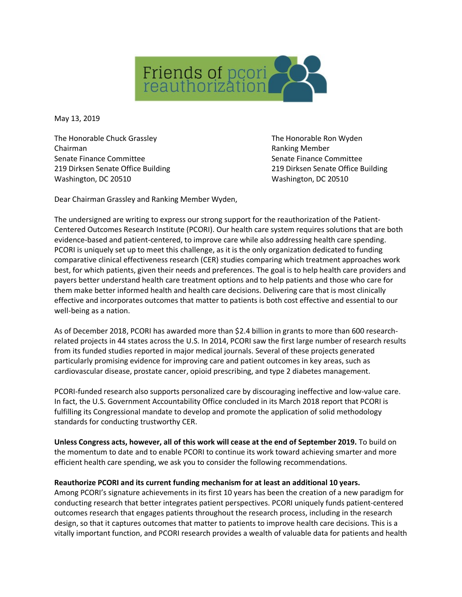

May 13, 2019

The Honorable Chuck Grassley The Honorable Ron Wyden Chairman **Chairman** Chairman Chairman Chairman Chairman Chairman Chairman Chairman Chairman Chairman Chairman Chairman Chairman Chairman Chairman Chairman Chairman Chairman Chairman Chairman Chairman Chairman Chairman Chai Senate Finance Committee Senate Finance Committee Senate Finance Committee 219 Dirksen Senate Office Building 219 Dirksen Senate Office Building Washington, DC 20510 Washington, DC 20510

Dear Chairman Grassley and Ranking Member Wyden,

The undersigned are writing to express our strong support for the reauthorization of the Patient-Centered Outcomes Research Institute (PCORI). Our health care system requires solutions that are both evidence-based and patient-centered, to improve care while also addressing health care spending. PCORI is uniquely set up to meet this challenge, as it is the only organization dedicated to funding comparative clinical effectiveness research (CER) studies comparing which treatment approaches work best, for which patients, given their needs and preferences. The goal is to help health care providers and payers better understand health care treatment options and to help patients and those who care for them make better informed health and health care decisions. Delivering care that is most clinically effective and incorporates outcomes that matter to patients is both cost effective and essential to our well-being as a nation.

As of December 2018, PCORI has awarded more than \$2.4 billion in grants to more than 600 researchrelated projects in 44 states across the U.S. In 2014, PCORI saw the first large number of research results from its funded studies reported in major medical journals. Several of these projects generated particularly promising evidence for improving care and patient outcomes in key areas, such as cardiovascular disease, prostate cancer, opioid prescribing, and type 2 diabetes management.

PCORI-funded research also supports personalized care by discouraging ineffective and low-value care. In fact, the U.S. Government Accountability Office concluded in its March 2018 report that PCORI is fulfilling its Congressional mandate to develop and promote the application of solid methodology standards for conducting trustworthy CER.

**Unless Congress acts, however, all of this work will cease at the end of September 2019.** To build on the momentum to date and to enable PCORI to continue its work toward achieving smarter and more efficient health care spending, we ask you to consider the following recommendations.

## **Reauthorize PCORI and its current funding mechanism for at least an additional 10 years.**

Among PCORI's signature achievements in its first 10 years has been the creation of a new paradigm for conducting research that better integrates patient perspectives. PCORI uniquely funds patient-centered outcomes research that engages patients throughout the research process, including in the research design, so that it captures outcomes that matter to patients to improve health care decisions. This is a vitally important function, and PCORI research provides a wealth of valuable data for patients and health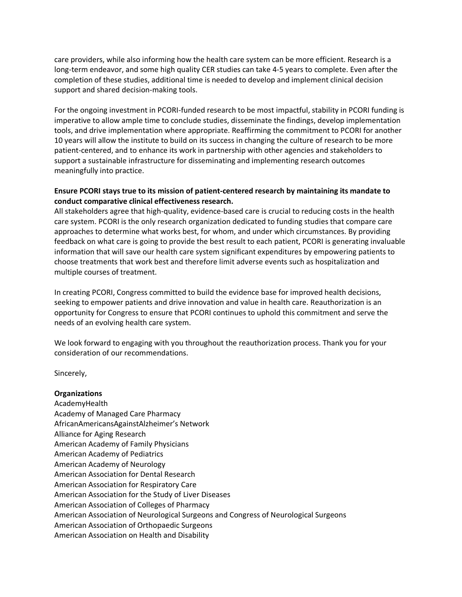care providers, while also informing how the health care system can be more efficient. Research is a long-term endeavor, and some high quality CER studies can take 4-5 years to complete. Even after the completion of these studies, additional time is needed to develop and implement clinical decision support and shared decision-making tools.

For the ongoing investment in PCORI-funded research to be most impactful, stability in PCORI funding is imperative to allow ample time to conclude studies, disseminate the findings, develop implementation tools, and drive implementation where appropriate. Reaffirming the commitment to PCORI for another 10 years will allow the institute to build on its success in changing the culture of research to be more patient-centered, and to enhance its work in partnership with other agencies and stakeholders to support a sustainable infrastructure for disseminating and implementing research outcomes meaningfully into practice.

## **Ensure PCORI stays true to its mission of patient-centered research by maintaining its mandate to conduct comparative clinical effectiveness research.**

All stakeholders agree that high-quality, evidence-based care is crucial to reducing costs in the health care system. PCORI is the only research organization dedicated to funding studies that compare care approaches to determine what works best, for whom, and under which circumstances. By providing feedback on what care is going to provide the best result to each patient, PCORI is generating invaluable information that will save our health care system significant expenditures by empowering patients to choose treatments that work best and therefore limit adverse events such as hospitalization and multiple courses of treatment.

In creating PCORI, Congress committed to build the evidence base for improved health decisions, seeking to empower patients and drive innovation and value in health care. Reauthorization is an opportunity for Congress to ensure that PCORI continues to uphold this commitment and serve the needs of an evolving health care system.

We look forward to engaging with you throughout the reauthorization process. Thank you for your consideration of our recommendations.

Sincerely,

## **Organizations**  AcademyHealth Academy of Managed Care Pharmacy AfricanAmericansAgainstAlzheimer's Network Alliance for Aging Research American Academy of Family Physicians American Academy of Pediatrics American Academy of Neurology American Association for Dental Research American Association for Respiratory Care American Association for the Study of Liver Diseases American Association of Colleges of Pharmacy American Association of Neurological Surgeons and Congress of Neurological Surgeons American Association of Orthopaedic Surgeons American Association on Health and Disability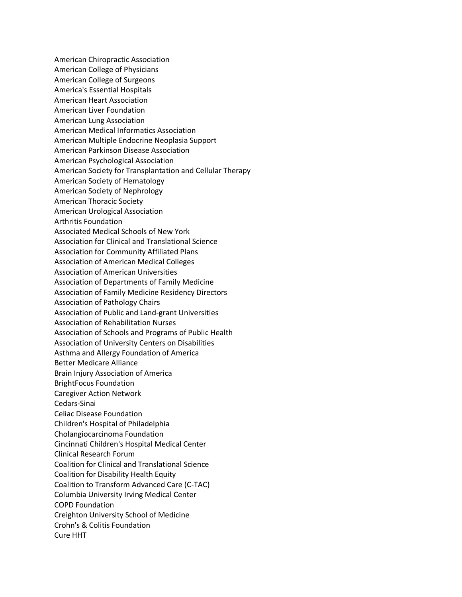American Chiropractic Association American College of Physicians American College of Surgeons America's Essential Hospitals American Heart Association American Liver Foundation American Lung Association American Medical Informatics Association American Multiple Endocrine Neoplasia Support American Parkinson Disease Association American Psychological Association American Society for Transplantation and Cellular Therapy American Society of Hematology American Society of Nephrology American Thoracic Society American Urological Association Arthritis Foundation Associated Medical Schools of New York Association for Clinical and Translational Science Association for Community Affiliated Plans Association of American Medical Colleges Association of American Universities Association of Departments of Family Medicine Association of Family Medicine Residency Directors Association of Pathology Chairs Association of Public and Land-grant Universities Association of Rehabilitation Nurses Association of Schools and Programs of Public Health Association of University Centers on Disabilities Asthma and Allergy Foundation of America Better Medicare Alliance Brain Injury Association of America BrightFocus Foundation Caregiver Action Network Cedars-Sinai Celiac Disease Foundation Children's Hospital of Philadelphia Cholangiocarcinoma Foundation Cincinnati Children's Hospital Medical Center Clinical Research Forum Coalition for Clinical and Translational Science Coalition for Disability Health Equity Coalition to Transform Advanced Care (C-TAC) Columbia University Irving Medical Center COPD Foundation Creighton University School of Medicine Crohn's & Colitis Foundation Cure HHT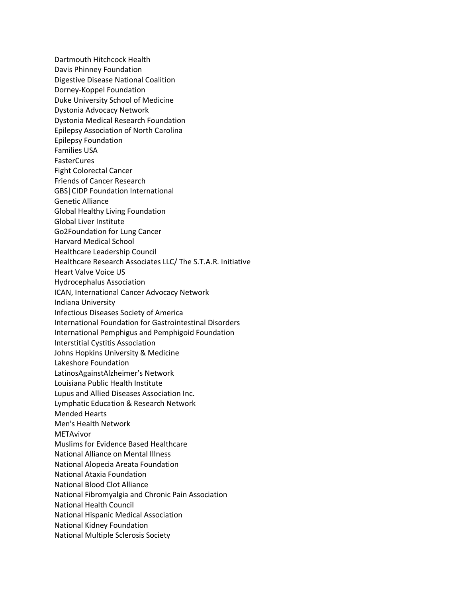Dartmouth Hitchcock Health Davis Phinney Foundation Digestive Disease National Coalition Dorney-Koppel Foundation Duke University School of Medicine Dystonia Advocacy Network Dystonia Medical Research Foundation Epilepsy Association of North Carolina Epilepsy Foundation Families USA **FasterCures** Fight Colorectal Cancer Friends of Cancer Research GBS|CIDP Foundation International Genetic Alliance Global Healthy Living Foundation Global Liver Institute Go2Foundation for Lung Cancer Harvard Medical School Healthcare Leadership Council Healthcare Research Associates LLC/ The S.T.A.R. Initiative Heart Valve Voice US Hydrocephalus Association ICAN, International Cancer Advocacy Network Indiana University Infectious Diseases Society of America International Foundation for Gastrointestinal Disorders International Pemphigus and Pemphigoid Foundation Interstitial Cystitis Association Johns Hopkins University & Medicine Lakeshore Foundation LatinosAgainstAlzheimer's Network Louisiana Public Health Institute Lupus and Allied Diseases Association Inc. Lymphatic Education & Research Network Mended Hearts Men's Health Network METAvivor Muslims for Evidence Based Healthcare National Alliance on Mental Illness National Alopecia Areata Foundation National Ataxia Foundation National Blood Clot Alliance National Fibromyalgia and Chronic Pain Association National Health Council National Hispanic Medical Association National Kidney Foundation National Multiple Sclerosis Society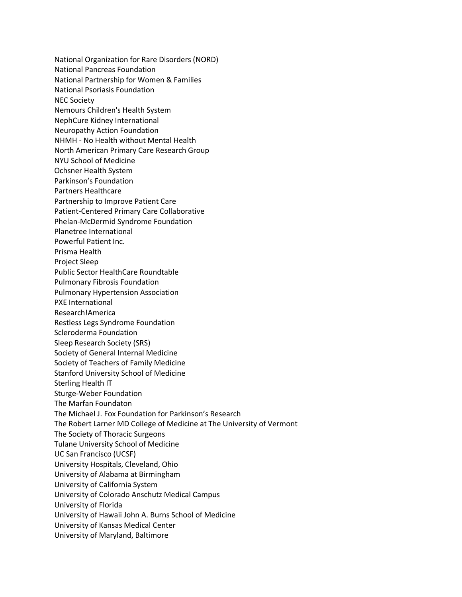National Organization for Rare Disorders (NORD) National Pancreas Foundation National Partnership for Women & Families National Psoriasis Foundation NEC Society Nemours Children's Health System NephCure Kidney International Neuropathy Action Foundation NHMH - No Health without Mental Health North American Primary Care Research Group NYU School of Medicine Ochsner Health System Parkinson's Foundation Partners Healthcare Partnership to Improve Patient Care Patient-Centered Primary Care Collaborative Phelan-McDermid Syndrome Foundation Planetree International Powerful Patient Inc. Prisma Health Project Sleep Public Sector HealthCare Roundtable Pulmonary Fibrosis Foundation Pulmonary Hypertension Association PXE International Research!America Restless Legs Syndrome Foundation Scleroderma Foundation Sleep Research Society (SRS) Society of General Internal Medicine Society of Teachers of Family Medicine Stanford University School of Medicine Sterling Health IT Sturge-Weber Foundation The Marfan Foundaton The Michael J. Fox Foundation for Parkinson's Research The Robert Larner MD College of Medicine at The University of Vermont The Society of Thoracic Surgeons Tulane University School of Medicine UC San Francisco (UCSF) University Hospitals, Cleveland, Ohio University of Alabama at Birmingham University of California System University of Colorado Anschutz Medical Campus University of Florida University of Hawaii John A. Burns School of Medicine University of Kansas Medical Center University of Maryland, Baltimore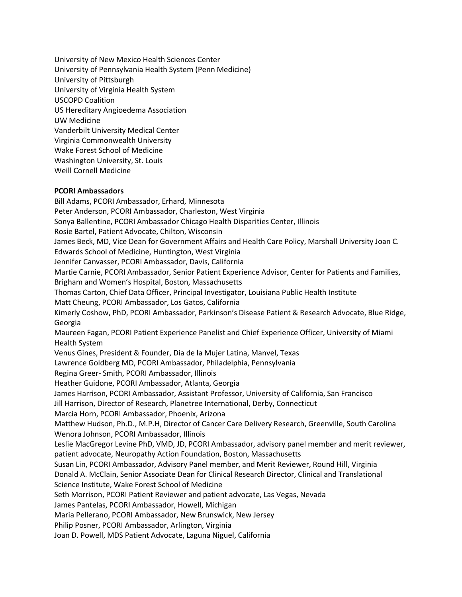University of New Mexico Health Sciences Center University of Pennsylvania Health System (Penn Medicine) University of Pittsburgh University of Virginia Health System USCOPD Coalition US Hereditary Angioedema Association UW Medicine Vanderbilt University Medical Center Virginia Commonwealth University Wake Forest School of Medicine Washington University, St. Louis Weill Cornell Medicine

## **PCORI Ambassadors**

Bill Adams, PCORI Ambassador, Erhard, Minnesota Peter Anderson, PCORI Ambassador, Charleston, West Virginia Sonya Ballentine, PCORI Ambassador Chicago Health Disparities Center, Illinois Rosie Bartel, Patient Advocate, Chilton, Wisconsin James Beck, MD, Vice Dean for Government Affairs and Health Care Policy, Marshall University Joan C. Edwards School of Medicine, Huntington, West Virginia Jennifer Canvasser, PCORI Ambassador, Davis, California Martie Carnie, PCORI Ambassador, Senior Patient Experience Advisor, Center for Patients and Families, Brigham and Women's Hospital, Boston, Massachusetts Thomas Carton, Chief Data Officer, Principal Investigator, Louisiana Public Health Institute Matt Cheung, PCORI Ambassador, Los Gatos, California Kimerly Coshow, PhD, PCORI Ambassador, Parkinson's Disease Patient & Research Advocate, Blue Ridge, Georgia Maureen Fagan, PCORI Patient Experience Panelist and Chief Experience Officer, University of Miami Health System Venus Gines, President & Founder, Dia de la Mujer Latina, Manvel, Texas Lawrence Goldberg MD, PCORI Ambassador, Philadelphia, Pennsylvania Regina Greer- Smith, PCORI Ambassador, Illinois Heather Guidone, PCORI Ambassador, Atlanta, Georgia James Harrison, PCORI Ambassador, Assistant Professor, University of California, San Francisco Jill Harrison, Director of Research, Planetree International, Derby, Connecticut Marcia Horn, PCORI Ambassador, Phoenix, Arizona Matthew Hudson, Ph.D., M.P.H, Director of Cancer Care Delivery Research, Greenville, South Carolina Wenora Johnson, PCORI Ambassador, Illinois Leslie MacGregor Levine PhD, VMD, JD, PCORI Ambassador, advisory panel member and merit reviewer, patient advocate, Neuropathy Action Foundation, Boston, Massachusetts Susan Lin, PCORI Ambassador, Advisory Panel member, and Merit Reviewer, Round Hill, Virginia Donald A. McClain, Senior Associate Dean for Clinical Research Director, Clinical and Translational Science Institute, Wake Forest School of Medicine Seth Morrison, PCORI Patient Reviewer and patient advocate, Las Vegas, Nevada James Pantelas, PCORI Ambassador, Howell, Michigan Maria Pellerano, PCORI Ambassador, New Brunswick, New Jersey Philip Posner, PCORI Ambassador, Arlington, Virginia Joan D. Powell, MDS Patient Advocate, Laguna Niguel, California